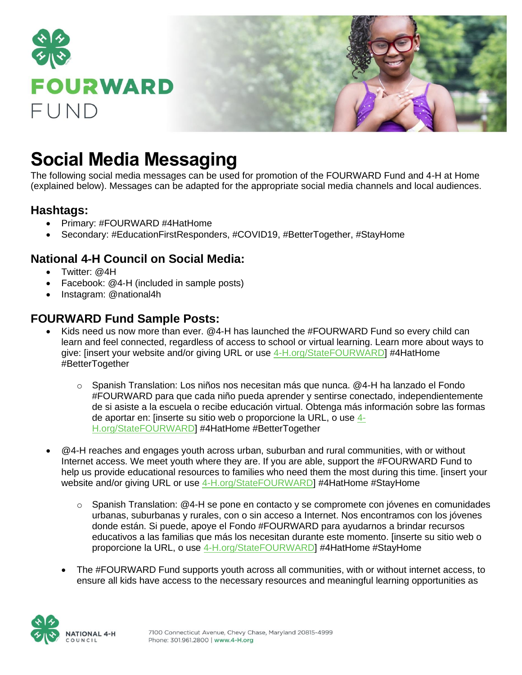

# **Social Media Messaging**

The following social media messages can be used for promotion of the FOURWARD Fund and 4-H at Home (explained below). Messages can be adapted for the appropriate social media channels and local audiences.

### **Hashtags:**

- Primary: #FOURWARD #4HatHome
- Secondary: #EducationFirstResponders, #COVID19, #BetterTogether, #StayHome

## **National 4**‑**H Council on Social Media:**

- Twitter: @4H
- Facebook: @4‑H (included in sample posts)
- Instagram: @national4h

## **FOURWARD Fund Sample Posts:**

- Kids need us now more than ever. @4-H has launched the #FOURWARD Fund so every child can learn and feel connected, regardless of access to school or virtual learning. Learn more about ways to give: [insert your website and/or giving URL or use [4-H.org/StateFOURWARD\]](https://national4h.givenow.stratuslive.com/state-fourward?slca=0001206&slcag=0001206-1) #4HatHome #BetterTogether
	- o Spanish Translation: Los niños nos necesitan más que nunca. @4-H ha lanzado el Fondo #FOURWARD para que cada niño pueda aprender y sentirse conectado, independientemente de si asiste a la escuela o recibe educación virtual. Obtenga más información sobre las formas de aportar en: [inserte su sitio web o proporcione la URL, o use [4-](https://national4h.givenow.stratuslive.com/state-fourward?slca=0001206&slcag=0001206-1) [H.org/StateFOURWARD\]](https://national4h.givenow.stratuslive.com/state-fourward?slca=0001206&slcag=0001206-1) #4HatHome #BetterTogether
- @4-H reaches and engages youth across urban, suburban and rural communities, with or without Internet access. We meet youth where they are. If you are able, support the #FOURWARD Fund to help us provide educational resources to families who need them the most during this time. [insert your website and/or giving URL or use [4-H.org/StateFOURWARD\]](https://national4h.givenow.stratuslive.com/state-fourward?slca=0001206&slcag=0001206-1) #4HatHome #StayHome
	- o Spanish Translation: @4-H se pone en contacto y se compromete con jóvenes en comunidades urbanas, suburbanas y rurales, con o sin acceso a Internet. Nos encontramos con los jóvenes donde están. Si puede, apoye el Fondo #FOURWARD para ayudarnos a brindar recursos educativos a las familias que más los necesitan durante este momento. [inserte su sitio web o proporcione la URL, o use [4-H.org/StateFOURWARD\]](https://national4h.givenow.stratuslive.com/state-fourward?slca=0001206&slcag=0001206-1) #4HatHome #StayHome
	- The #FOURWARD Fund supports youth across all communities, with or without internet access, to ensure all kids have access to the necessary resources and meaningful learning opportunities as

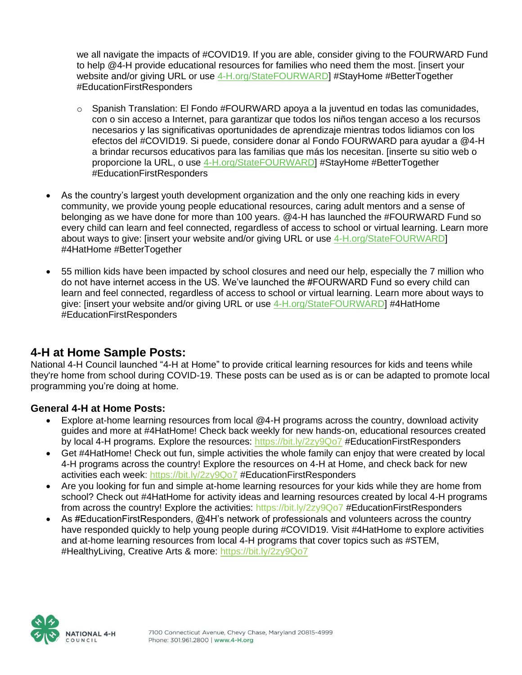we all navigate the impacts of #COVID19. If you are able, consider giving to the FOURWARD Fund to help @4-H provide educational resources for families who need them the most. [insert your website and/or giving URL or use [4-H.org/StateFOURWARD\]](https://national4h.givenow.stratuslive.com/state-fourward?slca=0001206&slcag=0001206-1) #StayHome #BetterTogether #EducationFirstResponders

- $\circ$  Spanish Translation: El Fondo #FOURWARD apoya a la juventud en todas las comunidades, con o sin acceso a Internet, para garantizar que todos los niños tengan acceso a los recursos necesarios y las significativas oportunidades de aprendizaje mientras todos lidiamos con los efectos del #COVID19. Si puede, considere donar al Fondo FOURWARD para ayudar a @4-H a brindar recursos educativos para las familias que más los necesitan. [inserte su sitio web o proporcione la URL, o use [4-H.org/StateFOURWARD\]](https://national4h.givenow.stratuslive.com/state-fourward?slca=0001206&slcag=0001206-1) #StayHome #BetterTogether #EducationFirstResponders
- As the country's largest youth development organization and the only one reaching kids in every community, we provide young people educational resources, caring adult mentors and a sense of belonging as we have done for more than 100 years. @4-H has launched the #FOURWARD Fund so every child can learn and feel connected, regardless of access to school or virtual learning. Learn more about ways to give: [insert your website and/or giving URL or use [4-H.org/StateFOURWARD\]](https://national4h.givenow.stratuslive.com/state-fourward?slca=0001206&slcag=0001206-1) #4HatHome #BetterTogether
- 55 million kids have been impacted by school closures and need our help, especially the 7 million who do not have internet access in the US. We've launched the #FOURWARD Fund so every child can learn and feel connected, regardless of access to school or virtual learning. Learn more about ways to give: [insert your website and/or giving URL or use [4-H.org/StateFOURWARD\]](https://national4h.givenow.stratuslive.com/state-fourward?slca=0001206&slcag=0001206-1) #4HatHome #EducationFirstResponders

#### **4-H at Home Sample Posts:**

National 4-H Council launched "4-H at Home" to provide critical learning resources for kids and teens while they're home from school during COVID-19. These posts can be used as is or can be adapted to promote local programming you're doing at home.

#### **General 4-H at Home Posts:**

- Explore at-home learning resources from local @4-H programs across the country, download activity guides and more at #4HatHome! Check back weekly for new hands-on, educational resources created by local 4-H programs. Explore the resources: <https://bit.ly/2zy9Qo7> #EducationFirstResponders
- Get #4HatHome! Check out fun, simple activities the whole family can enjoy that were created by local 4-H programs across the country! Explore the resources on 4-H at Home, and check back for new activities each week: <https://bit.ly/2zy9Qo7> #EducationFirstResponders
- Are you looking for fun and simple at-home learning resources for your kids while they are home from school? Check out #4HatHome for activity ideas and learning resources created by local 4-H programs from across the country! Explore the activities: https://bit.ly/2zy9Qo7 #EducationFirstResponders
- As #EducationFirstResponders, @4H's network of professionals and volunteers across the country have responded quickly to help young people during #COVID19. Visit #4HatHome to explore activities and at-home learning resources from local 4-H programs that cover topics such as #STEM, #HealthyLiving, Creative Arts & more: <https://bit.ly/2zy9Qo7>